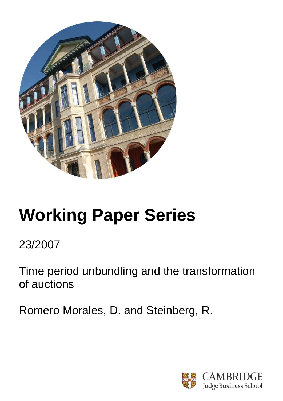

# **Working Paper Series**

23/2007

Time period unbundling and the transformation of auctions

Romero Morales, D. and Steinberg, R.

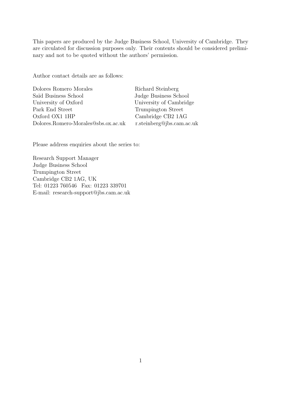This papers are produced by the Judge Business School, University of Cambridge. They are circulated for discussion purposes only. Their contents should be considered preliminary and not to be quoted without the authors' permission.

Author contact details are as follows:

Dolores Romero Morales Richard Steinberg Saïd Business School Judge Business School University of Oxford University of Cambridge Park End Street Trumpington Street Oxford OX1 1HP Cambridge CB2 1AG Dolores.Romero-Morales@sbs.ox.ac.uk r.steinberg@jbs.cam.ac.uk

Please address enquiries about the series to:

Research Support Manager Judge Business School Trumpington Street Cambridge CB2 1AG, UK Tel: 01223 760546 Fax: 01223 339701 E-mail: research-support@jbs.cam.ac.uk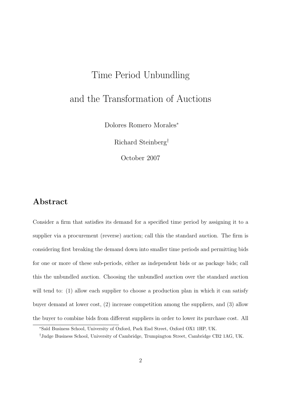## Time Period Unbundling and the Transformation of Auctions

Dolores Romero Morales<sup>∗</sup>

Richard Steinberg†

October 2007

#### Abstract

Consider a firm that satisfies its demand for a specified time period by assigning it to a supplier via a procurement (reverse) auction; call this the standard auction. The firm is considering first breaking the demand down into smaller time periods and permitting bids for one or more of these sub-periods, either as independent bids or as package bids; call this the unbundled auction. Choosing the unbundled auction over the standard auction will tend to: (1) allow each supplier to choose a production plan in which it can satisfy buyer demand at lower cost, (2) increase competition among the suppliers, and (3) allow the buyer to combine bids from different suppliers in order to lower its purchase cost. All

<sup>∗</sup>Sa¨ıd Business School, University of Oxford, Park End Street, Oxford OX1 1HP, UK.

<sup>†</sup>Judge Business School, University of Cambridge, Trumpington Street, Cambridge CB2 1AG, UK.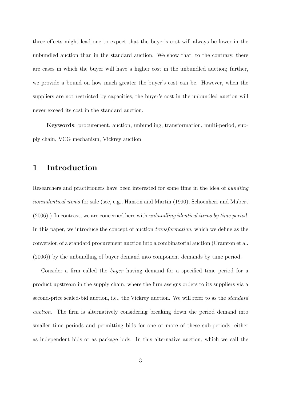three effects might lead one to expect that the buyer's cost will always be lower in the unbundled auction than in the standard auction. We show that, to the contrary, there are cases in which the buyer will have a higher cost in the unbundled auction; further, we provide a bound on how much greater the buyer's cost can be. However, when the suppliers are not restricted by capacities, the buyer's cost in the unbundled auction will never exceed its cost in the standard auction.

Keywords: procurement, auction, unbundling, transformation, multi-period, supply chain, VCG mechanism, Vickrey auction

#### 1 Introduction

Researchers and practitioners have been interested for some time in the idea of bundling nonindentical items for sale (see, e.g., Hanson and Martin (1990), Schoenherr and Mabert (2006).) In contrast, we are concerned here with unbundling identical items by time period. In this paper, we introduce the concept of auction transformation, which we define as the conversion of a standard procurement auction into a combinatorial auction (Cramton et al. (2006)) by the unbundling of buyer demand into component demands by time period.

Consider a firm called the buyer having demand for a specified time period for a product upstream in the supply chain, where the firm assigns orders to its suppliers via a second-price sealed-bid auction, i.e., the Vickrey auction. We will refer to as the *standard* auction. The firm is alternatively considering breaking down the period demand into smaller time periods and permitting bids for one or more of these sub-periods, either as independent bids or as package bids. In this alternative auction, which we call the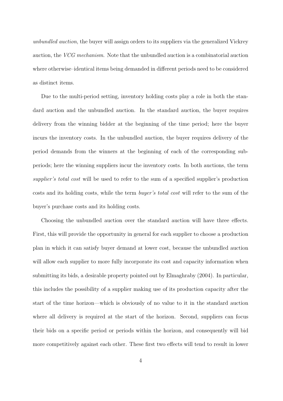unbundled auction, the buyer will assign orders to its suppliers via the generalized Vickrey auction, the VCG mechanism. Note that the unbundled auction is a combinatorial auction where otherwise–identical items being demanded in different periods need to be considered as distinct items.

Due to the multi-period setting, inventory holding costs play a role in both the standard auction and the unbundled auction. In the standard auction, the buyer requires delivery from the winning bidder at the beginning of the time period; here the buyer incurs the inventory costs. In the unbundled auction, the buyer requires delivery of the period demands from the winners at the beginning of each of the corresponding subperiods; here the winning suppliers incur the inventory costs. In both auctions, the term supplier's total cost will be used to refer to the sum of a specified supplier's production costs and its holding costs, while the term buyer's total cost will refer to the sum of the buyer's purchase costs and its holding costs.

Choosing the unbundled auction over the standard auction will have three effects. First, this will provide the opportunity in general for each supplier to choose a production plan in which it can satisfy buyer demand at lower cost, because the unbundled auction will allow each supplier to more fully incorporate its cost and capacity information when submitting its bids, a desirable property pointed out by Elmaghraby (2004). In particular, this includes the possibility of a supplier making use of its production capacity after the start of the time horizon—which is obviously of no value to it in the standard auction where all delivery is required at the start of the horizon. Second, suppliers can focus their bids on a specific period or periods within the horizon, and consequently will bid more competitively against each other. These first two effects will tend to result in lower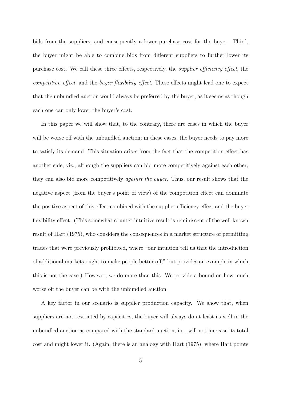bids from the suppliers, and consequently a lower purchase cost for the buyer. Third, the buyer might be able to combine bids from different suppliers to further lower its purchase cost. We call these three effects, respectively, the supplier efficiency effect, the competition effect, and the buyer flexibility effect. These effects might lead one to expect that the unbundled auction would always be preferred by the buyer, as it seems as though each one can only lower the buyer's cost.

In this paper we will show that, to the contrary, there are cases in which the buyer will be worse of f with the unbundled auction; in these cases, the buyer needs to pay more to satisfy its demand. This situation arises from the fact that the competition effect has another side, viz., although the suppliers can bid more competitively against each other, they can also bid more competitively against the buyer. Thus, our result shows that the negative aspect (from the buyer's point of view) of the competition effect can dominate the positive aspect of this effect combined with the supplier efficiency effect and the buyer flexibility effect. (This somewhat counter-intuitive result is reminiscent of the well-known result of Hart (1975), who considers the consequences in a market structure of permitting trades that were previously prohibited, where "our intuition tell us that the introduction of additional markets ought to make people better off," but provides an example in which this is not the case.) However, we do more than this. We provide a bound on how much worse off the buyer can be with the unbundled auction.

A key factor in our scenario is supplier production capacity. We show that, when suppliers are not restricted by capacities, the buyer will always do at least as well in the unbundled auction as compared with the standard auction, i.e., will not increase its total cost and might lower it. (Again, there is an analogy with Hart (1975), where Hart points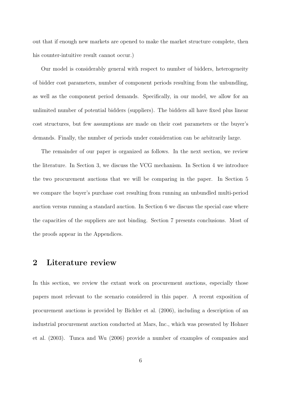out that if enough new markets are opened to make the market structure complete, then his counter-intuitive result cannot occur.)

Our model is considerably general with respect to number of bidders, heterogeneity of bidder cost parameters, number of component periods resulting from the unbundling, as well as the component period demands. Specifically, in our model, we allow for an unlimited number of potential bidders (suppliers). The bidders all have fixed plus linear cost structures, but few assumptions are made on their cost parameters or the buyer's demands. Finally, the number of periods under consideration can be arbitrarily large.

The remainder of our paper is organized as follows. In the next section, we review the literature. In Section 3, we discuss the VCG mechanism. In Section 4 we introduce the two procurement auctions that we will be comparing in the paper. In Section 5 we compare the buyer's purchase cost resulting from running an unbundled multi-period auction versus running a standard auction. In Section 6 we discuss the special case where the capacities of the suppliers are not binding. Section 7 presents conclusions. Most of the proofs appear in the Appendices.

#### 2 Literature review

In this section, we review the extant work on procurement auctions, especially those papers most relevant to the scenario considered in this paper. A recent exposition of procurement auctions is provided by Bichler et al. (2006), including a description of an industrial procurement auction conducted at Mars, Inc., which was presented by Hohner et al. (2003). Tunca and Wu (2006) provide a number of examples of companies and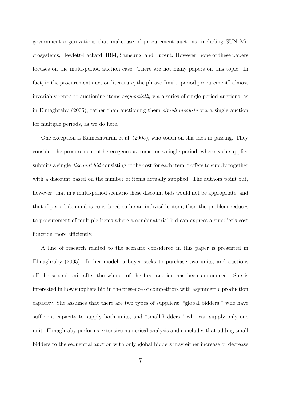government organizations that make use of procurement auctions, including SUN Microsystems, Hewlett-Packard, IBM, Samsung, and Lucent. However, none of these papers focuses on the multi-period auction case. There are not many papers on this topic. In fact, in the procurement auction literature, the phrase "multi-period procurement" almost invariably refers to auctioning items sequentially via a series of single-period auctions, as in Elmaghraby (2005), rather than auctioning them simultaneously via a single auction for multiple periods, as we do here.

One exception is Kameshwaran et al. (2005), who touch on this idea in passing. They consider the procurement of heterogeneous items for a single period, where each supplier submits a single *discount bid* consisting of the cost for each item it offers to supply together with a discount based on the number of items actually supplied. The authors point out, however, that in a multi-period scenario these discount bids would not be appropriate, and that if period demand is considered to be an indivisible item, then the problem reduces to procurement of multiple items where a combinatorial bid can express a supplier's cost function more efficiently.

A line of research related to the scenario considered in this paper is presented in Elmaghraby (2005). In her model, a buyer seeks to purchase two units, and auctions off the second unit after the winner of the first auction has been announced. She is interested in how suppliers bid in the presence of competitors with asymmetric production capacity. She assumes that there are two types of suppliers: "global bidders," who have sufficient capacity to supply both units, and "small bidders," who can supply only one unit. Elmaghraby performs extensive numerical analysis and concludes that adding small bidders to the sequential auction with only global bidders may either increase or decrease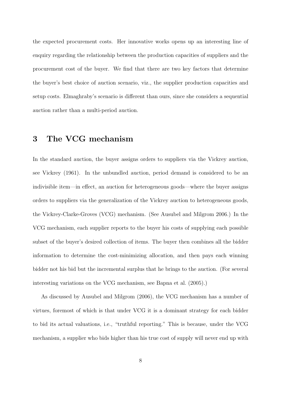the expected procurement costs. Her innovative works opens up an interesting line of enquiry regarding the relationship between the production capacities of suppliers and the procurement cost of the buyer. We find that there are two key factors that determine the buyer's best choice of auction scenario, viz., the supplier production capacities and setup costs. Elmaghraby's scenario is different than ours, since she considers a sequential auction rather than a multi-period auction.

#### 3 The VCG mechanism

In the standard auction, the buyer assigns orders to suppliers via the Vickrey auction, see Vickrey (1961). In the unbundled auction, period demand is considered to be an indivisible item—in effect, an auction for heterogeneous goods—where the buyer assigns orders to suppliers via the generalization of the Vickrey auction to heterogeneous goods, the Vickrey-Clarke-Groves (VCG) mechanism. (See Ausubel and Milgrom 2006.) In the VCG mechanism, each supplier reports to the buyer his costs of supplying each possible subset of the buyer's desired collection of items. The buyer then combines all the bidder information to determine the cost-minimizing allocation, and then pays each winning bidder not his bid but the incremental surplus that he brings to the auction. (For several interesting variations on the VCG mechanism, see Bapna et al. (2005).)

As discussed by Ausubel and Milgrom (2006), the VCG mechanism has a number of virtues, foremost of which is that under VCG it is a dominant strategy for each bidder to bid its actual valuations, i.e., "truthful reporting." This is because, under the VCG mechanism, a supplier who bids higher than his true cost of supply will never end up with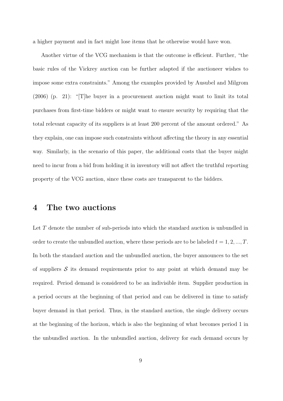a higher payment and in fact might lose items that he otherwise would have won.

Another virtue of the VCG mechanism is that the outcome is efficient. Further, "the basic rules of the Vickrey auction can be further adapted if the auctioneer wishes to impose some extra constraints." Among the examples provided by Ausubel and Milgrom (2006) (p. 21): "[T]he buyer in a procurement auction might want to limit its total purchases from first-time bidders or might want to ensure security by requiring that the total relevant capacity of its suppliers is at least 200 percent of the amount ordered." As they explain, one can impose such constraints without affecting the theory in any essential way. Similarly, in the scenario of this paper, the additional costs that the buyer might need to incur from a bid from holding it in inventory will not affect the truthful reporting property of the VCG auction, since these costs are transparent to the bidders.

#### 4 The two auctions

Let T denote the number of sub-periods into which the standard auction is unbundled in order to create the unbundled auction, where these periods are to be labeled  $t = 1, 2, ..., T$ . In both the standard auction and the unbundled auction, the buyer announces to the set of suppliers  $\mathcal S$  its demand requirements prior to any point at which demand may be required. Period demand is considered to be an indivisible item. Supplier production in a period occurs at the beginning of that period and can be delivered in time to satisfy buyer demand in that period. Thus, in the standard auction, the single delivery occurs at the beginning of the horizon, which is also the beginning of what becomes period 1 in the unbundled auction. In the unbundled auction, delivery for each demand occurs by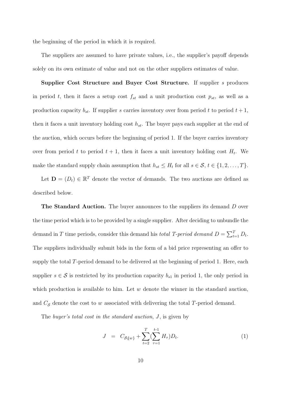the beginning of the period in which it is required.

The suppliers are assumed to have private values, i.e., the supplier's payoff depends solely on its own estimate of value and not on the other suppliers estimates of value.

Supplier Cost Structure and Buyer Cost Structure. If supplier s produces in period t, then it faces a setup cost  $f_{st}$  and a unit production cost  $p_{st}$ , as well as a production capacity  $b_{st}$ . If supplier s carries inventory over from period t to period  $t + 1$ , then it faces a unit inventory holding cost  $h_{st}$ . The buyer pays each supplier at the end of the auction, which occurs before the beginning of period 1. If the buyer carries inventory over from period t to period  $t + 1$ , then it faces a unit inventory holding cost  $H_t$ . We make the standard supply chain assumption that  $h_{st} \leq H_t$  for all  $s \in \mathcal{S}, t \in \{1, 2, ..., T\}$ .

Let  $\mathbf{D} = (D_t) \in \mathbb{R}^T$  denote the vector of demands. The two auctions are defined as described below.

**The Standard Auction.** The buyer announces to the suppliers its demand D over the time period which is to be provided by a single supplier. After deciding to unbundle the demand in T time periods, consider this demand his *total T-period demand*  $D = \sum_{t=1}^{T} D_t$ . The suppliers individually submit bids in the form of a bid price representing an offer to supply the total  $T$ -period demand to be delivered at the beginning of period 1. Here, each supplier  $s \in \mathcal{S}$  is restricted by its production capacity  $b_{s1}$  in period 1, the only period in which production is available to him. Let  $w$  denote the winner in the standard auction, and  $C_{\mathcal{S}}$  denote the cost to w associated with delivering the total T-period demand.

The *buyer's total cost in the standard auction*, J, is given by

$$
J = C_{\mathcal{S}\S{w}} + \sum_{t=2}^{T} (\sum_{\tau=1}^{t-1} H_{\tau}) D_t.
$$
 (1)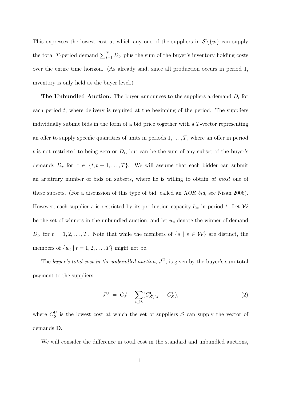This expresses the lowest cost at which any one of the suppliers in  $S \setminus \{w\}$  can supply the total T-period demand  $\sum_{t=1}^{T} D_t$ , plus the sum of the buyer's inventory holding costs over the entire time horizon. (As already said, since all production occurs in period 1, inventory is only held at the buyer level.)

**The Unbundled Auction.** The buyer announces to the suppliers a demand  $D_t$  for each period  $t$ , where delivery is required at the beginning of the period. The suppliers individually submit bids in the form of a bid price together with a T-vector representing an offer to supply specific quantities of units in periods  $1, \ldots, T$ , where an offer in period t is not restricted to being zero or  $D_t$ , but can be the sum of any subset of the buyer's demands  $D_{\tau}$  for  $\tau \in \{t, t + 1, ..., T\}$ . We will assume that each bidder can submit an arbitrary number of bids on subsets, where he is willing to obtain at most one of these subsets. (For a discussion of this type of bid, called an XOR bid, see Nisan 2006). However, each supplier s is restricted by its production capacity  $b_{st}$  in period t. Let W be the set of winners in the unbundled auction, and let  $w_t$  denote the winner of demand  $D_t$ , for  $t = 1, 2, \ldots, T$ . Note that while the members of  $\{s \mid s \in \mathcal{W}\}\$ are distinct, the members of  $\{w_t \mid t = 1, 2, \ldots, T\}$  might not be.

The buyer's total cost in the unbundled auction,  $J^U$ , is given by the buyer's sum total payment to the suppliers:

$$
J^{\mathcal{U}} = C_{\mathcal{S}}^{\mathcal{U}} + \sum_{s \in \mathcal{W}} (C_{\mathcal{S} \setminus \{s\}}^{\mathcal{U}} - C_{\mathcal{S}}^{\mathcal{U}}), \tag{2}
$$

where  $C_{\mathcal{S}}^{U}$  is the lowest cost at which the set of suppliers  $\mathcal{S}$  can supply the vector of demands D.

We will consider the difference in total cost in the standard and unbundled auctions,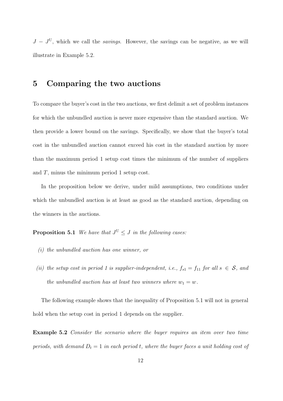$J - J^{U}$ , which we call the *savings*. However, the savings can be negative, as we will illustrate in Example 5.2.

#### 5 Comparing the two auctions

To compare the buyer's cost in the two auctions, we first delimit a set of problem instances for which the unbundled auction is never more expensive than the standard auction. We then provide a lower bound on the savings. Specifically, we show that the buyer's total cost in the unbundled auction cannot exceed his cost in the standard auction by more than the maximum period 1 setup cost times the minimum of the number of suppliers and  $T$ , minus the minimum period 1 setup cost.

In the proposition below we derive, under mild assumptions, two conditions under which the unbundled auction is at least as good as the standard auction, depending on the winners in the auctions.

**Proposition 5.1** We have that  $J^U \leq J$  in the following cases:

- (i) the unbundled auction has one winner, or
- (ii) the setup cost in period 1 is supplier-independent, i.e.,  $f_{s1} = f_{11}$  for all  $s \in S$ , and the unbundled auction has at least two winners where  $w_1 = w$ .

The following example shows that the inequality of Proposition 5.1 will not in general hold when the setup cost in period 1 depends on the supplier.

Example 5.2 Consider the scenario where the buyer requires an item over two time periods, with demand  $D_t = 1$  in each period t, where the buyer faces a unit holding cost of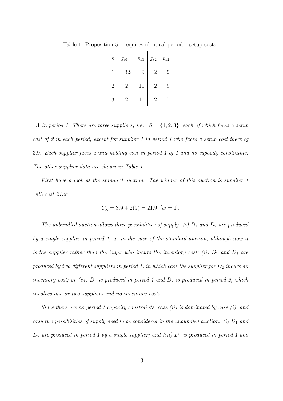| $\boldsymbol{S}$ | $f_{s1}$       | $p_{s1}$ | $f_{s2}$       | $p_{s2}$ |
|------------------|----------------|----------|----------------|----------|
| 1                | 3.9            | 9        | 2              | 9        |
| $\overline{2}$   | $\overline{2}$ | 10       | $\overline{2}$ | 9        |
| 3                | 2              | 11       | 2              |          |

Table 1: Proposition 5.1 requires identical period 1 setup costs

1.1 in period 1. There are three suppliers, i.e.,  $S = \{1, 2, 3\}$ , each of which faces a setup cost of 2 in each period, except for supplier 1 in period 1 who faces a setup cost there of 3.9. Each supplier faces a unit holding cost in period 1 of 1 and no capacity constraints. The other supplier data are shown in Table 1.

First have a look at the standard auction. The winner of this auction is supplier 1 with cost 21.9:

$$
C_{\mathcal{S}} = 3.9 + 2(9) = 21.9 \ \ [w = 1].
$$

The unbundled auction allows three possibilities of supply: (i)  $D_1$  and  $D_2$  are produced by a single supplier in period 1, as in the case of the standard auction, although now it is the supplier rather than the buyer who incurs the inventory cost; (ii)  $D_1$  and  $D_2$  are produced by two different suppliers in period 1, in which case the supplier for  $D_2$  incurs an inventory cost; or (iii)  $D_1$  is produced in period 1 and  $D_2$  is produced in period 2, which involves one or two suppliers and no inventory costs.

Since there are no period 1 capacity constraints, case (ii) is dominated by case (i), and only two possibilities of supply need to be considered in the unbundled auction: (i)  $D_1$  and  $D_2$  are produced in period 1 by a single supplier; and (iii)  $D_1$  is produced in period 1 and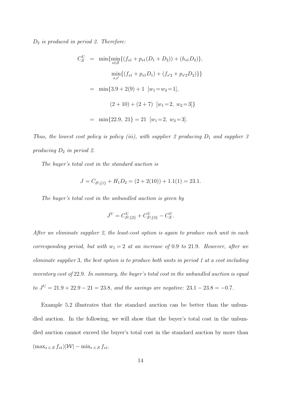#### $D_2$  is produced in period 2. Therefore:

$$
C_{\mathcal{S}}^{U} = \min \{ \min_{s \in \mathcal{S}} \{ (f_{s1} + p_{s1}(D_1 + D_2)) + (h_{s1}D_2) \},\
$$

$$
\min_{s,s'} \{ (f_{s1} + p_{s1}D_1) + (f_{s'2} + p_{s'2}D_2) \} \}
$$

$$
= \min \{ 3.9 + 2(9) + 1 \, [w_1 = w_2 = 1],\
$$

$$
(2 + 10) + (2 + 7) \, [w_1 = 2, \, w_2 = 3] \}
$$

$$
= \min \{ 22.9, \, 21 \} = 21 \, [w_1 = 2, \, w_2 = 3].
$$

Thus, the lowest cost policy is policy (iii), with supplier 2 producing  $D_1$  and supplier 3 producing  $D_2$  in period 2.

The buyer's total cost in the standard auction is

$$
J = C_{\mathcal{S}\backslash\{1\}} + H_1 D_2 = (2 + 2(10)) + 1.1(1) = 23.1.
$$

The buyer's total cost in the unbundled auction is given by

$$
J^{\mathcal{U}} = C_{\mathcal{S}\backslash\{2\}}^{\mathcal{U}} + C_{\mathcal{S}\backslash\{3\}}^{\mathcal{U}} - C_{\mathcal{S}}^{\mathcal{U}}.
$$

After we eliminate supplier 2, the least-cost option is again to produce each unit in each corresponding period, but with  $w_1 = 2$  at an increase of 0.9 to 21.9. However, after we eliminate supplier 3, the best option is to produce both units in period 1 at a cost including inventory cost of 22.9. In summary, the buyer's total cost in the unbundled auction is equal to  $J^{\text{U}} = 21.9 + 22.9 - 21 = 23.8$ , and the savings are negative:  $23.1 - 23.8 = -0.7$ .

Example 5.2 illustrates that the standard auction can be better than the unbundled auction. In the following, we will show that the buyer's total cost in the unbundled auction cannot exceed the buyer's total cost in the standard auction by more than  $(\max_{s \in S} f_{s1})|\mathcal{W}| - \min_{s \in S} f_{s1}.$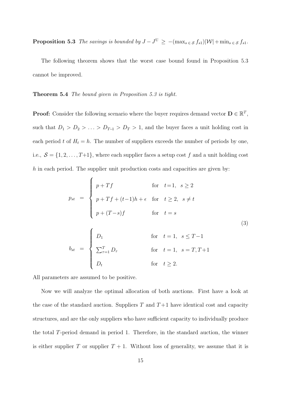**Proposition 5.3** The savings is bounded by  $J - J^U \ge -(\max_{s \in S} f_{s1})|\mathcal{W}| + \min_{s \in S} f_{s1}$ .

The following theorem shows that the worst case bound found in Proposition 5.3 cannot be improved.

Theorem 5.4 The bound given in Proposition 5.3 is tight.

**Proof:** Consider the following scenario where the buyer requires demand vector  $D \in \mathbb{R}^T$ , such that  $D_1 > D_2 > \ldots > D_{T-1} > D_T > 1$ , and the buyer faces a unit holding cost in each period t of  $H_t = h$ . The number of suppliers exceeds the number of periods by one, i.e.,  $S = \{1, 2, ..., T+1\}$ , where each supplier faces a setup cost f and a unit holding cost  $h$  in each period. The supplier unit production costs and capacities are given by:

$$
p_{st} = \begin{cases} p + Tf & \text{for } t = 1, s \ge 2 \\ p + Tf + (t-1)h + \epsilon & \text{for } t \ge 2, s \ne t \\ p + (T-s)f & \text{for } t = s \end{cases}
$$
(3)  

$$
b_{st} = \begin{cases} D_1 & \text{for } t = 1, s \le T-1 \\ \sum_{\tau=1}^T D_\tau & \text{for } t = 1, s = T, T+1 \\ D_t & \text{for } t \ge 2. \end{cases}
$$

All parameters are assumed to be positive.

Now we will analyze the optimal allocation of both auctions. First have a look at the case of the standard auction. Suppliers  $T$  and  $T+1$  have identical cost and capacity structures, and are the only suppliers who have sufficient capacity to individually produce the total T-period demand in period 1. Therefore, in the standard auction, the winner is either supplier T or supplier  $T + 1$ . Without loss of generality, we assume that it is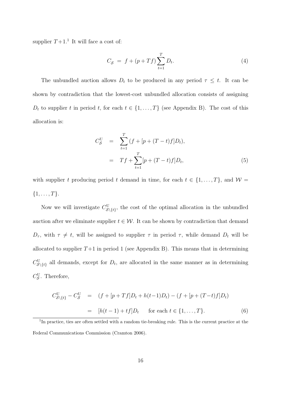supplier  $T+1$ <sup>1</sup>. It will face a cost of:

 $\overline{\mathbf{C}}$ 

$$
C_{\mathcal{S}} = f + (p + Tf) \sum_{t=1}^{T} D_t.
$$
 (4)

The unbundled auction allows  $D_t$  to be produced in any period  $\tau \leq t$ . It can be shown by contradiction that the lowest-cost unbundled allocation consists of assigning  $D_t$  to supplier t in period t, for each  $t \in \{1, ..., T\}$  (see Appendix B). The cost of this allocation is:

$$
C_{\mathcal{S}}^{U} = \sum_{t=1}^{T} (f + [p + (T - t)f]D_{t}),
$$
  
=  $Tf + \sum_{t=1}^{T} [p + (T - t)f]D_{t},$  (5)

with supplier t producing period t demand in time, for each  $t \in \{1, ..., T\}$ , and  $\mathcal{W} =$  ${1, \ldots, T}.$ 

Now we will investigate  $C_{\mathcal{S}\backslash\{t\}}^{\text{U}}$ , the cost of the optimal allocation in the unbundled auction after we eliminate supplier  $t \in \mathcal{W}$ . It can be shown by contradiction that demand  $D_{\tau}$ , with  $\tau \neq t$ , will be assigned to supplier  $\tau$  in period  $\tau$ , while demand  $D_t$  will be allocated to supplier  $T+1$  in period 1 (see Appendix B). This means that in determining  $C_{\mathcal{S}\setminus\{t\}}^{\text{U}}$  all demands, except for  $D_t$ , are allocated in the same manner as in determining  $C_{\mathcal{S}}^{\text{U}}$ . Therefore,

$$
C_{\mathcal{S}\backslash\{t\}}^{\mathcal{U}} - C_{\mathcal{S}}^{\mathcal{U}} = (f + [p + Tf]D_t + h(t-1)D_t) - (f + [p + (T-t)f]D_t)
$$
  
=  $[h(t-1) + tf]D_t$  for each  $t \in \{1, ..., T\}.$  (6)

<sup>&</sup>lt;sup>1</sup>In practice, ties are often settled with a random tie-breaking rule. This is the current practice at the Federal Communications Commission (Cramton 2006).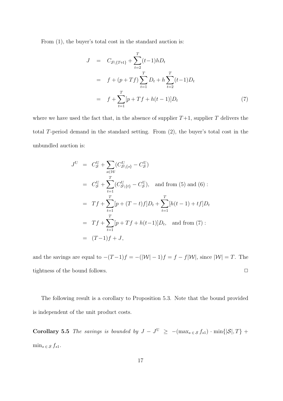From  $(1)$ , the buyer's total cost in the standard auction is:

$$
J = C_{\mathcal{S}\backslash\{T+1\}} + \sum_{t=2}^{T} (t-1)hD_t
$$
  
=  $f + (p+Tf) \sum_{t=1}^{T} D_t + h \sum_{t=2}^{T} (t-1)D_t$   
=  $f + \sum_{t=1}^{T} [p+Tf + h(t-1)]D_t$  (7)

where we have used the fact that, in the absence of supplier  $T+1$ , supplier T delivers the total T-period demand in the standard setting. From (2), the buyer's total cost in the unbundled auction is:

$$
J^{U} = C_{S}^{U} + \sum_{s \in W} (C_{S \setminus \{s\}}^{U} - C_{S}^{U})
$$
  
\n
$$
= C_{S}^{U} + \sum_{t=1}^{T} (C_{S \setminus \{t\}}^{U} - C_{S}^{U}), \text{ and from (5) and (6)}:
$$
  
\n
$$
= Tf + \sum_{t=1}^{T} [p + (T - t)f]D_{t} + \sum_{t=1}^{T} [h(t-1) + tf]D_{t}
$$
  
\n
$$
= Tf + \sum_{t=1}^{T} [p + Tf + h(t-1)]D_{t}, \text{ and from (7)}:
$$
  
\n
$$
= (T-1)f + J,
$$

and the savings are equal to  $-(T-1)f = -(|W| - 1)f = f - f|W|$ , since  $|W| = T$ . The tightness of the bound follows.  $\Box$ 

The following result is a corollary to Proposition 5.3. Note that the bound provided is independent of the unit product costs.

Corollary 5.5 The savings is bounded by  $J - J^U \geq -(\max_{s \in S} f_{s1}) \cdot \min\{|\mathcal{S}|,T\}$  +  $\min_{s \in \mathcal{S}} f_{s1}.$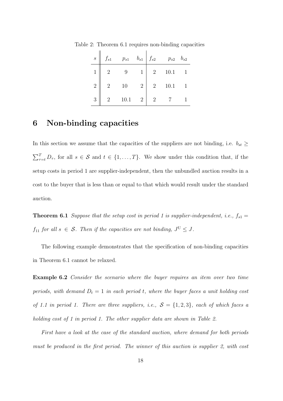| $\boldsymbol{S}$ | $f_{s1}$       |        |                |                | $p_{s1}$ $b_{s1}$ $f_{s2}$ $p_{s2}$ $b_{s2}$ |  |
|------------------|----------------|--------|----------------|----------------|----------------------------------------------|--|
|                  |                | 9      |                | $\overline{2}$ | 10.1                                         |  |
| $\sqrt{2}$       | $\overline{2}$ | $10\,$ | 2              | 2              | 10.1                                         |  |
| 3                | $2^{\circ}$    | 10.1   | $\overline{2}$ | $\overline{2}$ |                                              |  |

Table 2: Theorem 6.1 requires non-binding capacities

#### 6 Non-binding capacities

In this section we assume that the capacities of the suppliers are not binding, i.e.  $b_{st} \geq$  $\sum_{\tau=t}^{T} D_{\tau}$ , for all  $s \in \mathcal{S}$  and  $t \in \{1, ..., T\}$ . We show under this condition that, if the setup costs in period 1 are supplier-independent, then the unbundled auction results in a cost to the buyer that is less than or equal to that which would result under the standard auction.

**Theorem 6.1** Suppose that the setup cost in period 1 is supplier-independent, i.e.,  $f_{s1} =$  $f_{11}$  for all  $s \in S$ . Then if the capacities are not binding,  $J^{\text{U}} \leq J$ .

The following example demonstrates that the specification of non-binding capacities in Theorem 6.1 cannot be relaxed.

Example 6.2 Consider the scenario where the buyer requires an item over two time periods, with demand  $D_t = 1$  in each period t, where the buyer faces a unit holding cost of 1.1 in period 1. There are three suppliers, i.e.,  $S = \{1,2,3\}$ , each of which faces a holding cost of 1 in period 1. The other supplier data are shown in Table 2.

First have a look at the case of the standard auction, where demand for both periods must be produced in the first period. The winner of this auction is supplier 2, with cost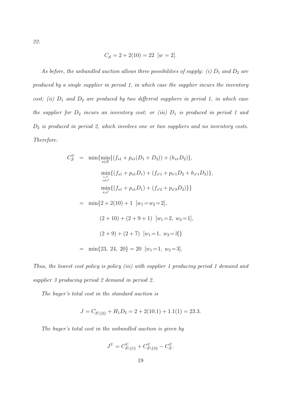22:

$$
C_{\mathcal{S}} = 2 + 2(10) = 22 \ \ [w = 2].
$$

As before, the unbundled auction allows three possibilities of supply: (i)  $D_1$  and  $D_2$  are produced by a single supplier in period 1, in which case the supplier incurs the inventory cost; (ii)  $D_1$  and  $D_2$  are produced by two different suppliers in period 1, in which case the supplier for  $D_2$  incurs an inventory cost; or (iii)  $D_1$  is produced in period 1 and  $D_2$  is produced in period 2, which involves one or two suppliers and no inventory costs. Therefore:

$$
C_{\mathcal{S}}^{U} = \min \{ \min_{s \in \mathcal{S}} \{ (f_{s1} + p_{s1}(D_1 + D_2)) + (h_{s1}D_2) \},
$$
  
\n
$$
\min_{s,s'} \{ (f_{s1} + p_{s1}D_1) + (f_{s'1} + p_{s'1}D_2 + h_{s'1}D_2) \},
$$
  
\n
$$
\min_{s,s'} \{ (f_{s1} + p_{s1}D_1) + (f_{s'2} + p_{s'2}D_2) \} \}
$$
  
\n
$$
= \min \{ 2 + 2(10) + 1 \, [w_1 = w_2 = 2],
$$
  
\n
$$
(2 + 10) + (2 + 9 + 1) \, [w_1 = 2, w_2 = 1],
$$
  
\n
$$
(2 + 9) + (2 + 7) \, [w_1 = 1, w_2 = 3] \}
$$
  
\n
$$
= \min \{ 23, 24, 20 \} = 20 \, [w_1 = 1, w_2 = 3].
$$

Thus, the lowest cost policy is policy (iii) with supplier 1 producing period 1 demand and supplier 3 producing period 2 demand in period 2.

The buyer's total cost in the standard auction is

$$
J = C_{\mathcal{S}\backslash \{2\}} + H_1 D_2 = 2 + 2(10.1) + 1.1(1) = 23.3.
$$

The buyer's total cost in the unbundled auction is given by

$$
J^{\mathbf{U}}=C_{\mathcal{S}\backslash\{1\}}^{\mathbf{U}}+C_{\mathcal{S}\backslash\{3\}}^{\mathbf{U}}-C_{\mathcal{S}}^{\mathbf{U}}.
$$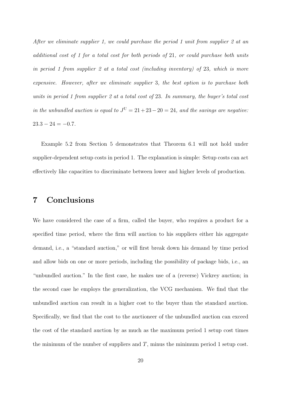After we eliminate supplier 1, we could purchase the period 1 unit from supplier 2 at an additional cost of 1 for a total cost for both periods of 21, or could purchase both units in period 1 from supplier 2 at a total cost (including inventory) of 23, which is more expensive. However, after we eliminate supplier 3, the best option is to purchase both units in period 1 from supplier 2 at a total cost of 23. In summary, the buyer's total cost in the unbundled auction is equal to  $J^U = 21 + 23 - 20 = 24$ , and the savings are negative:  $23.3 - 24 = -0.7$ .

Example 5.2 from Section 5 demonstrates that Theorem 6.1 will not hold under supplier-dependent setup costs in period 1. The explanation is simple: Setup costs can act effectively like capacities to discriminate between lower and higher levels of production.

#### 7 Conclusions

We have considered the case of a firm, called the buyer, who requires a product for a specified time period, where the firm will auction to his suppliers either his aggregate demand, i.e., a "standard auction," or will first break down his demand by time period and allow bids on one or more periods, including the possibility of package bids, i.e., an "unbundled auction." In the first case, he makes use of a (reverse) Vickrey auction; in the second case he employs the generalization, the VCG mechanism. We find that the unbundled auction can result in a higher cost to the buyer than the standard auction. Specifically, we find that the cost to the auctioneer of the unbundled auction can exceed the cost of the standard auction by as much as the maximum period 1 setup cost times the minimum of the number of suppliers and  $T$ , minus the minimum period 1 setup cost.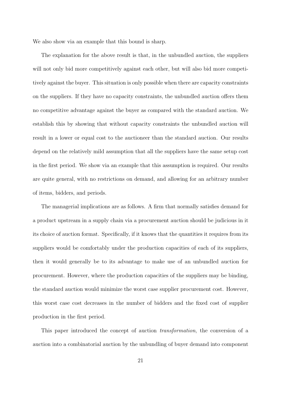We also show via an example that this bound is sharp.

The explanation for the above result is that, in the unbundled auction, the suppliers will not only bid more competitively against each other, but will also bid more competitively against the buyer. This situation is only possible when there are capacity constraints on the suppliers. If they have no capacity constraints, the unbundled auction offers them no competitive advantage against the buyer as compared with the standard auction. We establish this by showing that without capacity constraints the unbundled auction will result in a lower or equal cost to the auctioneer than the standard auction. Our results depend on the relatively mild assumption that all the suppliers have the same setup cost in the first period. We show via an example that this assumption is required. Our results are quite general, with no restrictions on demand, and allowing for an arbitrary number of items, bidders, and periods.

The managerial implications are as follows. A firm that normally satisfies demand for a product upstream in a supply chain via a procurement auction should be judicious in it its choice of auction format. Specifically, if it knows that the quantities it requires from its suppliers would be comfortably under the production capacities of each of its suppliers, then it would generally be to its advantage to make use of an unbundled auction for procurement. However, where the production capacities of the suppliers may be binding, the standard auction would minimize the worst case supplier procurement cost. However, this worst case cost decreases in the number of bidders and the fixed cost of supplier production in the first period.

This paper introduced the concept of auction transformation, the conversion of a auction into a combinatorial auction by the unbundling of buyer demand into component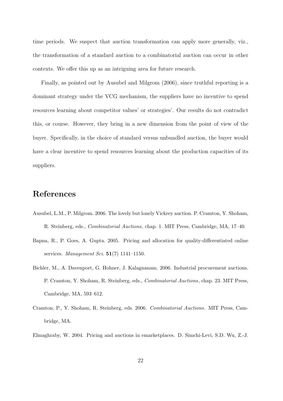time periods. We suspect that auction transformation can apply more generally, viz., the transformation of a standard auction to a combinatorial auction can occur in other contexts. We offer this up as an intriguing area for future research.

Finally, as pointed out by Ausubel and Milgrom (2006), since truthful reporting is a dominant strategy under the VCG mechanism, the suppliers have no incentive to spend resources learning about competitor values' or strategies'. Our results do not contradict this, or course. However, they bring in a new dimension from the point of view of the buyer. Specifically, in the choice of standard versus unbundled auction, the buyer would have a clear incentive to spend resources learning about the production capacities of its suppliers.

#### References

- Ausubel, L.M., P. Milgrom. 2006. The lovely but lonely Vickrey auction. P. Cramton, Y. Shoham, R. Steinberg, eds., Combinatorial Auctions, chap. 1. MIT Press, Cambridge, MA, 17–40.
- Bapna, R., P. Goes, A. Gupta. 2005. Pricing and allocation for quality-differentiated online services. Management Sci.  $51(7)$  1141-1150.
- Bichler, M., A. Davenport, G. Hohner, J. Kalagnanam. 2006. Industrial procurement auctions. P. Cramton, Y. Shoham, R. Steinberg, eds., Combinatorial Auctions, chap. 23. MIT Press, Cambridge, MA, 593–612.
- Cramton, P., Y. Shoham, R. Steinberg, eds. 2006. Combinatorial Auctions. MIT Press, Cambridge, MA.

Elmaghraby, W. 2004. Pricing and auctions in emarketplaces. D. Simchi-Levi, S.D. Wu, Z.-J.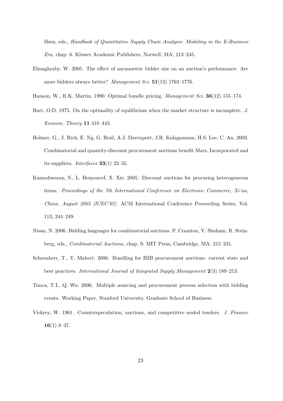Shen, eds., Handbook of Quantitative Supply Chain Analysis: Modeling in the E-Business Era, chap. 6. Kluwer Academic Publishers, Norwell, MA, 213–245.

- Elmaghraby, W. 2005. The effect of asymmetric bidder size on an auction's performance: Are more bidders always better? Management Sci. 51(12) 1763-1776.
- Hanson, W., R.K. Martin. 1990. Optimal bundle pricing. Management Sci. 36(12) 155–174.
- Hart, O.D. 1975. On the optimality of equilibrium when the market structure is incomplete. J. Econom. Theory 11 418–443.
- Hohner, G., J. Rich, E. Ng, G. Reid, A.J. Davenport, J.R. Kalagnanam, H.S. Lee, C. An. 2003. Combinatorial and quantity-discount procurement auctions benefit Mars, Incorporated and its suppliers. *Interfaces* **33**(1) 23–35.
- Kameshwaran, S., L. Benyoucef, X. Xie. 2005. Discount auctions for procuring heterogeneous items. Proceedings of the 7th International Conference on Electronic Commerce, Xi'an, China, August 2005 [ICEC'05]. ACM International Conference Proceeding Series, Vol. 113, 244–249.
- Nisan, N. 2006. Bidding languages for combinatorial auctions. P. Cramton, Y. Shoham, R. Steinberg, eds., Combinatorial Auctions, chap. 9. MIT Press, Cambridge, MA, 215–231.
- Schoenherr, T., V. Mabert. 2006. Bundling for B2B procurement auctions: current state and best practices. International Journal of Integrated Supply Management 2(3) 189–213.
- Tunca, T.I., Q. Wu. 2006. Multiple sourcing and procurement process selection with bidding events. Working Paper, Stanford University, Graduate School of Business.
- Vickrey, W. 1961. Counterspeculation, auctions, and competitive sealed tenders. J. Finance  $16(1)$  8–37.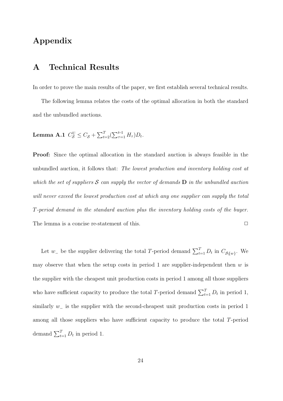### Appendix

#### A Technical Results

In order to prove the main results of the paper, we first establish several technical results.

The following lemma relates the costs of the optimal allocation in both the standard and the unbundled auctions.

**Lemma A.1** 
$$
C_S^{\text{U}} \leq C_S + \sum_{t=2}^T (\sum_{\tau=1}^{t-1} H_{\tau}) D_t
$$
.

Proof: Since the optimal allocation in the standard auction is always feasible in the unbundled auction, it follows that: The lowest production and inventory holding cost at which the set of suppliers  $S$  can supply the vector of demands  $D$  in the unbundled auction will never exceed the lowest production cost at which any one supplier can supply the total T-period demand in the standard auction plus the inventory holding costs of the buyer. The lemma is a concise re-statement of this.  $\Box$ 

Let  $w_{-}$  be the supplier delivering the total T-period demand  $\sum_{t=1}^{T} D_t$  in  $C_{\mathcal{S}\S{w}}$ . We may observe that when the setup costs in period 1 are supplier-independent then  $w$  is the supplier with the cheapest unit production costs in period 1 among all those suppliers who have sufficient capacity to produce the total T-period demand  $\sum_{t=1}^{T} D_t$  in period 1, similarly w<sub>-</sub> is the supplier with the second-cheapest unit production costs in period 1 among all those suppliers who have sufficient capacity to produce the total T-period demand  $\sum_{t=1}^{T} D_t$  in period 1.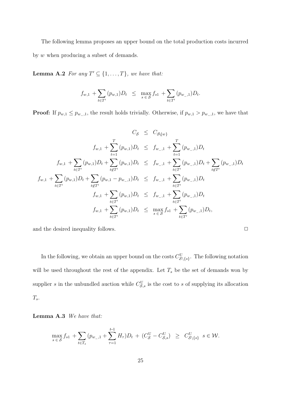The following lemma proposes an upper bound on the total production costs incurred by w when producing a subset of demands.

**Lemma A.2** For any  $T' \subseteq \{1, \ldots, T\}$ , we have that:

$$
f_{w,1} + \sum_{t \in T'} (p_{w,1}) D_t \le \max_{s \in S} f_{s1} + \sum_{t \in T'} (p_{w_{-},1}) D_t.
$$

**Proof:** If  $p_{w,1} \leq p_{w_1,1}$ , the result holds trivially. Otherwise, if  $p_{w,1} > p_{w_1,1}$ , we have that

$$
C_{\mathcal{S}} \leq C_{\mathcal{S}\{w\}}
$$
  
\n
$$
f_{w,1} + \sum_{t=1}^{T} (p_{w,1})D_t \leq f_{w_{-},1} + \sum_{t=1}^{T} (p_{w_{-},1})D_t
$$
  
\n
$$
f_{w,1} + \sum_{t \in T'} (p_{w,1})D_t + \sum_{t \notin T'} (p_{w,1})D_t \leq f_{w_{-},1} + \sum_{t \in T'} (p_{w_{-},1})D_t + \sum_{t \notin T'} (p_{w_{-},1})D_t
$$
  
\n
$$
f_{w,1} + \sum_{t \in T'} (p_{w,1})D_t + \sum_{t \notin T'} (p_{w,1} - p_{w_{-},1})D_t \leq f_{w_{-},1} + \sum_{t \in T'} (p_{w_{-},1})D_t
$$
  
\n
$$
f_{w,1} + \sum_{t \in T'} (p_{w,1})D_t \leq f_{w_{-},1} + \sum_{t \in T'} (p_{w_{-},1})D_t
$$
  
\n
$$
f_{w,1} + \sum_{t \in T'} (p_{w,1})D_t \leq \max_{s \in \mathcal{S}} f_{s1} + \sum_{t \in T'} (p_{w_{-},1})D_t,
$$

and the desired inequality follows.  $\Box$ 

In the following, we obtain an upper bound on the costs  $C_{\mathcal{S}\setminus\{s\}}^{\mathbf{U}}$ . The following notation will be used throughout the rest of the appendix. Let  $T_s$  be the set of demands won by supplier s in the unbundled auction while  $C_{\mathcal{S},s}^{\mathrm{U}}$  is the cost to s of supplying its allocation  $T_s$ .

Lemma A.3 We have that:

$$
\max_{s \in S} f_{s1} + \sum_{t \in T_s} (p_{w_{-},1} + \sum_{\tau=1}^{t-1} H_{\tau}) D_t + (C_S^{\mathrm{U}} - C_{S,s}^{\mathrm{U}}) \ge C_{S \setminus \{s\}}^{\mathrm{U}} \ s \in \mathcal{W}.
$$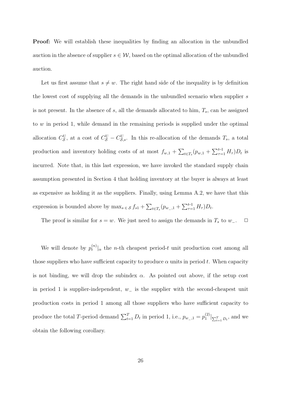**Proof:** We will establish these inequalities by finding an allocation in the unbundled auction in the absence of supplier  $s \in \mathcal{W}$ , based on the optimal allocation of the unbundled auction.

Let us first assume that  $s \neq w$ . The right hand side of the inequality is by definition the lowest cost of supplying all the demands in the unbundled scenario when supplier s is not present. In the absence of  $s$ , all the demands allocated to him,  $T_s$ , can be assigned to  $w$  in period 1, while demand in the remaining periods is supplied under the optimal allocation  $C_S^{\text{U}}$ , at a cost of  $C_S^{\text{U}} - C_{S,s}^{\text{U}}$ . In this re-allocation of the demands  $T_s$ , a total production and inventory holding costs of at most  $f_{w,1} + \sum_{t \in T_s} (p_{w,1} + \sum_{\tau=1}^{t-1} H_\tau) D_t$  is incurred. Note that, in this last expression, we have invoked the standard supply chain assumption presented in Section 4 that holding inventory at the buyer is always at least as expensive as holding it as the suppliers. Finally, using Lemma A.2, we have that this expression is bounded above by  $\max_{s \in S} f_{s1} + \sum_{t \in T_s} (p_{w_{-},1} + \sum_{\tau=1}^{t-1} H_{\tau}) D_t$ .

The proof is similar for  $s = w$ . We just need to assign the demands in  $T_s$  to  $w_-\$ .  $\Box$ 

We will denote by  $p_t^{(n)}$  $\binom{n}{t}$  a the *n*-th cheapest period-t unit production cost among all those suppliers who have sufficient capacity to produce  $\alpha$  units in period t. When capacity is not binding, we will drop the subindex  $\alpha$ . As pointed out above, if the setup cost in period 1 is supplier-independent,  $w_{-}$  is the supplier with the second-cheapest unit production costs in period 1 among all those suppliers who have sufficient capacity to produce the total T-period demand  $\sum_{t=1}^{T} D_t$  in period 1, i.e.,  $p_{w_1,1} = p_1^{(2)}$  $\sum_{t=1}^{(2)}\left| \sum_{t=1}^{T}D_{t},\right|$  and we obtain the following corollary.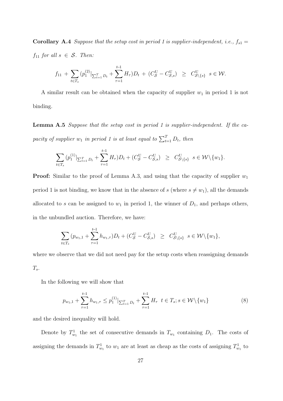**Corollary A.4** Suppose that the setup cost in period 1 is supplier-independent, i.e.,  $f_{s1} =$  $f_{11}$  for all  $s \in S$ . Then:

$$
f_{11} + \sum_{t \in T_s} (p_1^{(2)}|_{\sum_{t=1}^T D_t} + \sum_{\tau=1}^{t-1} H_{\tau}) D_t + (C_S^{\mathrm{U}} - C_{\mathcal{S},s}^{\mathrm{U}}) \geq C_{\mathcal{S} \setminus \{s\}}^{\mathrm{U}} \ s \in \mathcal{W}.
$$

A similar result can be obtained when the capacity of supplier  $w_1$  in period 1 is not binding.

Lemma A.5 Suppose that the setup cost in period 1 is supplier-independent. If the capacity of supplier  $w_1$  in period 1 is at least equal to  $\sum_{t=1}^{T} D_t$ , then

$$
\sum_{t \in T_s} (p_1^{(1)}|_{\sum_{t=1}^T D_t} + \sum_{\tau=1}^{t-1} H_\tau) D_t + (C_S^{\mathrm{U}} - C_{S,s}^{\mathrm{U}}) \ge C_{S \setminus \{s\}}^{\mathrm{U}} \ s \in \mathcal{W} \setminus \{w_1\}.
$$

**Proof:** Similar to the proof of Lemma A.3, and using that the capacity of supplier  $w_1$ period 1 is not binding, we know that in the absence of s (where  $s \neq w_1$ ), all the demands allocated to s can be assigned to  $w_1$  in period 1, the winner of  $D_1$ , and perhaps others, in the unbundled auction. Therefore, we have:

$$
\sum_{t \in T_s} (p_{w_1,1} + \sum_{\tau=1}^{t-1} h_{w_1,\tau}) D_t + (C_S^{\mathrm{U}} - C_{S,s}^{\mathrm{U}}) \geq C_{S \setminus \{s\}}^{\mathrm{U}} \ s \in \mathcal{W} \setminus \{w_1\},\
$$

where we observe that we did not need pay for the setup costs when reassigning demands  $T_s$ .

In the following we will show that

$$
p_{w_1,1} + \sum_{\tau=1}^{t-1} h_{w_1,\tau} \le p_1^{(1)} \big|_{\sum_{t=1}^T D_t} + \sum_{\tau=1}^{t-1} H_\tau \quad t \in T_s; s \in \mathcal{W} \setminus \{w_1\}
$$
(8)

and the desired inequality will hold.

Denote by  $T_{w_1}^1$  the set of consecutive demands in  $T_{w_1}$  containing  $D_1$ . The costs of assigning the demands in  $T_{w_1}^1$  to  $w_1$  are at least as cheap as the costs of assigning  $T_{w_1}^1$  to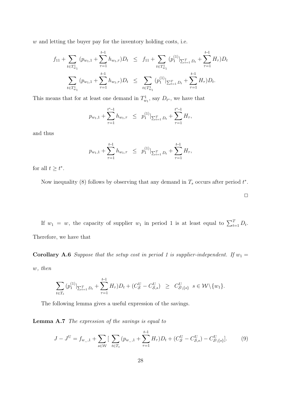w and letting the buyer pay for the inventory holding costs, i.e.

$$
f_{11} + \sum_{t \in T_{w_1}^1} (p_{w_1,1} + \sum_{\tau=1}^{t-1} h_{w_1,\tau}) D_t \leq f_{11} + \sum_{t \in T_{w_1}^1} (p_1^{(1)}|_{\sum_{t=1}^T D_t} + \sum_{\tau=1}^{t-1} H_{\tau}) D_t
$$
  

$$
\sum_{t \in T_{w_1}^1} (p_{w_1,1} + \sum_{\tau=1}^{t-1} h_{w_1,\tau}) D_t \leq \sum_{t \in T_{w_1}^1} (p_1^{(1)}|_{\sum_{t=1}^T D_t} + \sum_{\tau=1}^{t-1} H_{\tau}) D_t.
$$

This means that for at least one demand in  $T_{w_1}^1$ , say  $D_{t^*}$ , we have that

$$
p_{w_1,1} + \sum_{\tau=1}^{t^*-1} h_{w_1,\tau} \le p_1^{(1)}|_{\sum_{t=1}^T D_t} + \sum_{\tau=1}^{t^*-1} H_{\tau},
$$

and thus

$$
p_{w_1,1} + \sum_{\tau=1}^{t-1} h_{w_1,\tau} \le p_1^{(1)}|_{\sum_{t=1}^T D_t} + \sum_{\tau=1}^{t-1} H_\tau,
$$

for all  $t \geq t^*$ .

Now inequality (8) follows by observing that any demand in  $T_s$  occurs after period  $t^*$ .

If  $w_1 = w$ , the capacity of supplier  $w_1$  in period 1 is at least equal to  $\sum_{t=1}^T D_t$ . Therefore, we have that

**Corollary A.6** Suppose that the setup cost in period 1 is supplier-independent. If  $w_1 =$ w, then

$$
\sum_{t \in T_s} (p_1^{(1)}|_{\sum_{t=1}^T D_t} + \sum_{\tau=1}^{t-1} H_{\tau}) D_t + (C_S^{\mathrm{U}} - C_{\mathcal{S},s}^{\mathrm{U}}) \ge C_{\mathcal{S} \setminus \{s\}}^{\mathrm{U}} \ s \in \mathcal{W} \setminus \{w_1\}.
$$

The following lemma gives a useful expression of the savings.

Lemma A.7 The expression of the savings is equal to

$$
J - J^{\mathcal{U}} = f_{w_{-},1} + \sum_{s \in \mathcal{W}} \left[ \sum_{t \in T_s} (p_{w_{-},1} + \sum_{\tau=1}^{t-1} H_{\tau}) D_t + (C_{\mathcal{S}}^{\mathcal{U}} - C_{\mathcal{S},s}^{\mathcal{U}}) - C_{\mathcal{S} \setminus \{s\}}^{\mathcal{U}} \right]. \tag{9}
$$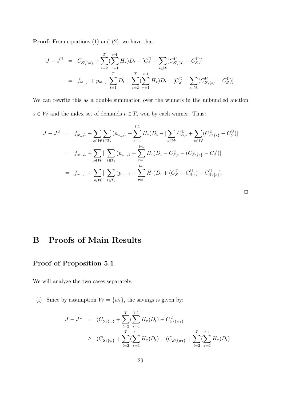**Proof:** From equations (1) and (2), we have that:

$$
J - J^{U} = C_{S \setminus \{w\}} + \sum_{t=2}^{T} (\sum_{\tau=1}^{t-1} H_{\tau}) D_{t} - [C_{S}^{U} + \sum_{s \in W} (C_{S \setminus \{s\}}^{U} - C_{S}^{U})]
$$
  
=  $f_{w_{-},1} + p_{w_{-},1} \sum_{t=1}^{T} D_{t} + \sum_{t=2}^{T} (\sum_{\tau=1}^{t-1} H_{\tau}) D_{t} - [C_{S}^{U} + \sum_{s \in W} (C_{S \setminus \{s\}}^{U} - C_{S}^{U})].$ 

We can rewrite this as a double summation over the winners in the unbundled auction  $s \in \mathcal{W}$  and the index set of demands  $t \in T_s$  won by each winner. Thus:

$$
J - J^{U} = f_{w_{-},1} + \sum_{s \in \mathcal{W}} \sum_{t \in T_{s}} (p_{w_{-},1} + \sum_{\tau=1}^{t-1} H_{\tau}) D_{t} - [\sum_{s \in \mathcal{W}} C_{S,s}^{U} + \sum_{s \in \mathcal{W}} (C_{S \setminus \{s\}}^{U} - C_{S}^{U})]
$$
  

$$
= f_{w_{-},1} + \sum_{s \in \mathcal{W}} [\sum_{t \in T_{s}} (p_{w_{-},1} + \sum_{\tau=1}^{t-1} H_{\tau}) D_{t} - C_{S,s}^{U} - (C_{S \setminus \{s\}}^{U} - C_{S}^{U})]
$$
  

$$
= f_{w_{-},1} + \sum_{s \in \mathcal{W}} [\sum_{t \in T_{s}} (p_{w_{-},1} + \sum_{\tau=1}^{t-1} H_{\tau}) D_{t} + (C_{S}^{U} - C_{S,s}^{U}) - C_{S \setminus \{s\}}^{U}].
$$

| ___ |  |  |
|-----|--|--|

## B Proofs of Main Results

## Proof of Proposition 5.1

We will analyze the two cases separately.

(i) Since by assumption  $\mathcal{W} = \{w_1\}$ , the savings is given by:

$$
J - J^{U} = (C_{S \setminus \{w\}} + \sum_{t=2}^{T} (\sum_{\tau=1}^{t-1} H_{\tau}) D_{t}) - C_{S \setminus \{w_{1}\}}^{U}
$$
  
\n
$$
\geq (C_{S \setminus \{w\}} + \sum_{t=2}^{T} (\sum_{\tau=1}^{t-1} H_{\tau}) D_{t}) - (C_{S \setminus \{w_{1}\}} + \sum_{t=2}^{T} (\sum_{\tau=1}^{t-1} H_{\tau}) D_{t})
$$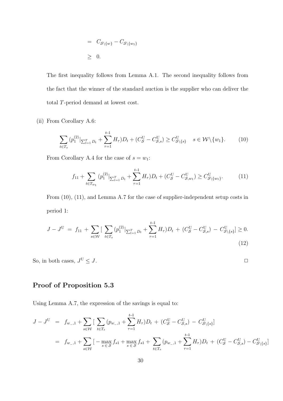$$
= C_{\mathcal{S}\backslash \{w\}} - C_{\mathcal{S}\backslash \{w_1\}}
$$
  

$$
\geq 0.
$$

The first inequality follows from Lemma A.1. The second inequality follows from the fact that the winner of the standard auction is the supplier who can deliver the total T-period demand at lowest cost.

(ii) From Corollary A.6:

$$
\sum_{t \in T_s} (p_1^{(2)}|_{\sum_{t=1}^T D_t} + \sum_{\tau=1}^{t-1} H_\tau) D_t + (C_S^U - C_{S,s}^U) \ge C_{S \setminus \{s\}}^U \quad s \in \mathcal{W} \setminus \{w_1\}. \tag{10}
$$

From Corollary A.4 for the case of  $s = w_1$ :

$$
f_{11} + \sum_{t \in T_{w_1}} (p_1^{(2)}|_{\sum_{t=1}^T D_t} + \sum_{\tau=1}^{t-1} H_\tau) D_t + (C_S^U - C_{S,w_1}^U) \ge C_{S \setminus \{w_1\}}^U.
$$
 (11)

From (10), (11), and Lemma A.7 for the case of supplier-independent setup costs in period 1:

$$
J - J^{U} = f_{11} + \sum_{s \in W} \left[ \sum_{t \in T_s} (p_1^{(2)} |_{\sum_{t=1}^{T} D_t} + \sum_{\tau=1}^{t-1} H_{\tau}) D_t + (C_{\mathcal{S}}^{U} - C_{\mathcal{S},s}^{U}) - C_{\mathcal{S} \setminus \{s\}}^{U} \right] \ge 0.
$$
\n(12)

So, in both cases,  $J^\mathrm{U}\le J.$  $U \leq J$ .

#### Proof of Proposition 5.3

Using Lemma A.7, the expression of the savings is equal to:

$$
J - J^{U} = f_{w_{-},1} + \sum_{s \in \mathcal{W}} \left[ \sum_{t \in T_s} (p_{w_{-},1} + \sum_{\tau=1}^{t-1} H_{\tau}) D_t + (C_S^U - C_{S,s}^U) - C_{S \setminus \{s\}}^U \right]
$$
  
=  $f_{w_{-},1} + \sum_{s \in \mathcal{W}} \left[ - \max_{s \in S} f_{s1} + \max_{s \in S} f_{s1} + \sum_{t \in T_s} (p_{w_{-},1} + \sum_{\tau=1}^{t-1} H_{\tau}) D_t + (C_S^U - C_{S,s}^U) - C_{S \setminus \{s\}}^U \right]$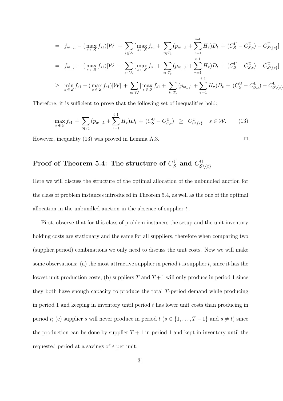$$
= f_{w_{-},1} - (\max_{s \in S} f_{s1})|\mathcal{W}| + \sum_{s \in \mathcal{W}} [\max_{s \in S} f_{s1} + \sum_{t \in T_s} (p_{w_{-},1} + \sum_{\tau=1}^{t-1} H_{\tau})D_t + (C_S^U - C_{S,s}^U) - C_{S\setminus\{s\}}^U]
$$
  
\n
$$
= f_{w_{-},1} - (\max_{s \in S} f_{s1})|\mathcal{W}| + \sum_{s \in \mathcal{W}} [\max_{s \in S} f_{s1} + \sum_{t \in T_s} (p_{w_{-},1} + \sum_{\tau=1}^{t-1} H_{\tau})D_t + (C_S^U - C_{S,s}^U) - C_{S\setminus\{s\}}^U]
$$
  
\n
$$
\geq \min_{s \in S} f_{s1} - (\max_{s \in S} f_{s1})|\mathcal{W}| + \sum_{s \in \mathcal{W}} [\max_{s \in S} f_{s1} + \sum_{t \in T_s} (p_{w_{-},1} + \sum_{\tau=1}^{t-1} H_{\tau})D_t + (C_S^U - C_{S,s}^U) - C_{S\setminus\{s\}}^U]
$$

Therefore, it is sufficient to prove that the following set of inequalities hold:

$$
\max_{s \in S} f_{s1} + \sum_{t \in T_s} (p_{w_{-},1} + \sum_{\tau=1}^{t-1} H_{\tau}) D_t + (C_S^U - C_{S,s}^U) \ge C_{S \setminus \{s\}}^U \quad s \in \mathcal{W}.
$$
 (13)

However, inequality (13) was proved in Lemma A.3.  $\Box$ 

#### Proof of Theorem 5.4: The structure of  $C_{\mathcal{S}}^{\text{U}}$  and  $C_{\mathcal{S}}^{\text{U}}$  $\mathcal{S}\backslash\{t\}$

Here we will discuss the structure of the optimal allocation of the unbundled auction for the class of problem instances introduced in Theorem 5.4, as well as the one of the optimal allocation in the unbundled auction in the absence of supplier t.

First, observe that for this class of problem instances the setup and the unit inventory holding costs are stationary and the same for all suppliers, therefore when comparing two (supplier,period) combinations we only need to discuss the unit costs. Now we will make some observations: (a) the most attractive supplier in period t is supplier t, since it has the lowest unit production costs; (b) suppliers T and  $T+1$  will only produce in period 1 since they both have enough capacity to produce the total T-period demand while producing in period 1 and keeping in inventory until period  $t$  has lower unit costs than producing in period t; (c) supplier s will never produce in period  $t$  ( $s \in \{1, ..., T-1\}$  and  $s \neq t$ ) since the production can be done by supplier  $T + 1$  in period 1 and kept in inventory until the requested period at a savings of  $\varepsilon$  per unit.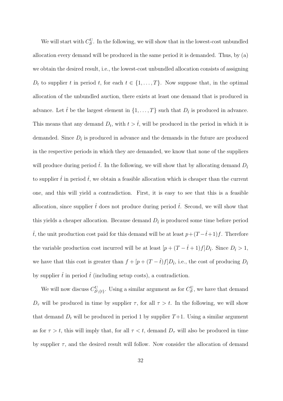We will start with  $C_{\mathcal{S}}^{\mathbf{U}}$ . In the following, we will show that in the lowest-cost unbundled allocation every demand will be produced in the same period it is demanded. Thus, by (a) we obtain the desired result, i.e., the lowest-cost unbundled allocation consists of assigning  $D_t$  to supplier t in period t, for each  $t \in \{1, \ldots, T\}$ . Now suppose that, in the optimal allocation of the unbundled auction, there exists at least one demand that is produced in advance. Let  $\hat{t}$  be the largest element in  $\{1, \ldots, T\}$  such that  $D_{\hat{t}}$  is produced in advance. This means that any demand  $D_t$ , with  $t > \hat{t}$ , will be produced in the period in which it is demanded. Since  $D_{\hat{t}}$  is produced in advance and the demands in the future are produced in the respective periods in which they are demanded, we know that none of the suppliers will produce during period  $\hat{t}$ . In the following, we will show that by allocating demand  $D_{\hat{t}}$ to supplier  $\hat{t}$  in period  $\hat{t}$ , we obtain a feasible allocation which is cheaper than the current one, and this will yield a contradiction. First, it is easy to see that this is a feasible allocation, since supplier  $\hat{t}$  does not produce during period  $\hat{t}$ . Second, we will show that this yields a cheaper allocation. Because demand  $D_{\hat{t}}$  is produced some time before period  $\hat{t}$ , the unit production cost paid for this demand will be at least  $p + (T - \hat{t} + 1)f$ . Therefore the variable production cost incurred will be at least  $[p + (T - \hat{t} + 1)f]D_{\hat{t}}$ . Since  $D_{\hat{t}} > 1$ , we have that this cost is greater than  $f + [p + (T - \hat{t})f]D_{\hat{t}}$ , i.e., the cost of producing  $D_{\hat{t}}$ by supplier  $\hat{t}$  in period  $\hat{t}$  (including setup costs), a contradiction.

We will now discuss  $C_{\mathcal{S}\setminus\{t\}}^{\text{U}}$ . Using a similar argument as for  $C_{\mathcal{S}}^{\text{U}}$ , we have that demand  $D_{\tau}$  will be produced in time by supplier  $\tau$ , for all  $\tau > t$ . In the following, we will show that demand  $D_t$  will be produced in period 1 by supplier  $T+1$ . Using a similar argument as for  $\tau > t$ , this will imply that, for all  $\tau < t$ , demand  $D_{\tau}$  will also be produced in time by supplier  $\tau$ , and the desired result will follow. Now consider the allocation of demand